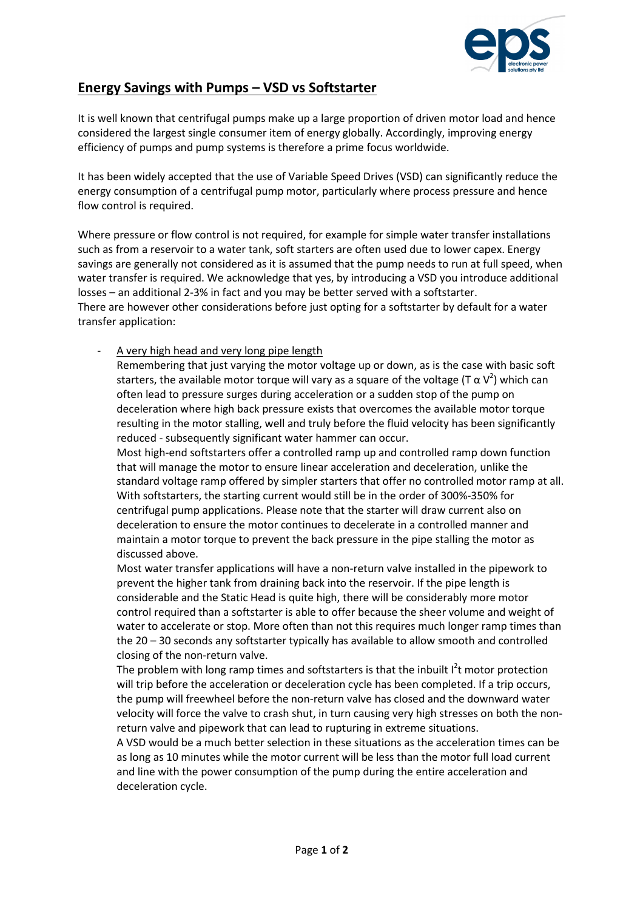

## Energy Savings with Pumps – VSD vs Softstarter

It is well known that centrifugal pumps make up a large proportion of driven motor load and hence considered the largest single consumer item of energy globally. Accordingly, improving energy efficiency of pumps and pump systems is therefore a prime focus worldwide.

It has been widely accepted that the use of Variable Speed Drives (VSD) can significantly reduce the energy consumption of a centrifugal pump motor, particularly where process pressure and hence flow control is required.

Where pressure or flow control is not required, for example for simple water transfer installations such as from a reservoir to a water tank, soft starters are often used due to lower capex. Energy savings are generally not considered as it is assumed that the pump needs to run at full speed, when water transfer is required. We acknowledge that yes, by introducing a VSD you introduce additional losses – an additional 2-3% in fact and you may be better served with a softstarter. There are however other considerations before just opting for a softstarter by default for a water transfer application:

A very high head and very long pipe length

Remembering that just varying the motor voltage up or down, as is the case with basic soft starters, the available motor torque will vary as a square of the voltage (T  $\alpha$  V<sup>2</sup>) which can often lead to pressure surges during acceleration or a sudden stop of the pump on deceleration where high back pressure exists that overcomes the available motor torque resulting in the motor stalling, well and truly before the fluid velocity has been significantly reduced - subsequently significant water hammer can occur.

Most high-end softstarters offer a controlled ramp up and controlled ramp down function that will manage the motor to ensure linear acceleration and deceleration, unlike the standard voltage ramp offered by simpler starters that offer no controlled motor ramp at all. With softstarters, the starting current would still be in the order of 300%-350% for centrifugal pump applications. Please note that the starter will draw current also on deceleration to ensure the motor continues to decelerate in a controlled manner and maintain a motor torque to prevent the back pressure in the pipe stalling the motor as discussed above.

Most water transfer applications will have a non-return valve installed in the pipework to prevent the higher tank from draining back into the reservoir. If the pipe length is considerable and the Static Head is quite high, there will be considerably more motor control required than a softstarter is able to offer because the sheer volume and weight of water to accelerate or stop. More often than not this requires much longer ramp times than the 20 – 30 seconds any softstarter typically has available to allow smooth and controlled closing of the non-return valve.

The problem with long ramp times and softstarters is that the inbuilt  $I<sup>2</sup>$ t motor protection will trip before the acceleration or deceleration cycle has been completed. If a trip occurs, the pump will freewheel before the non-return valve has closed and the downward water velocity will force the valve to crash shut, in turn causing very high stresses on both the nonreturn valve and pipework that can lead to rupturing in extreme situations.

A VSD would be a much better selection in these situations as the acceleration times can be as long as 10 minutes while the motor current will be less than the motor full load current and line with the power consumption of the pump during the entire acceleration and deceleration cycle.